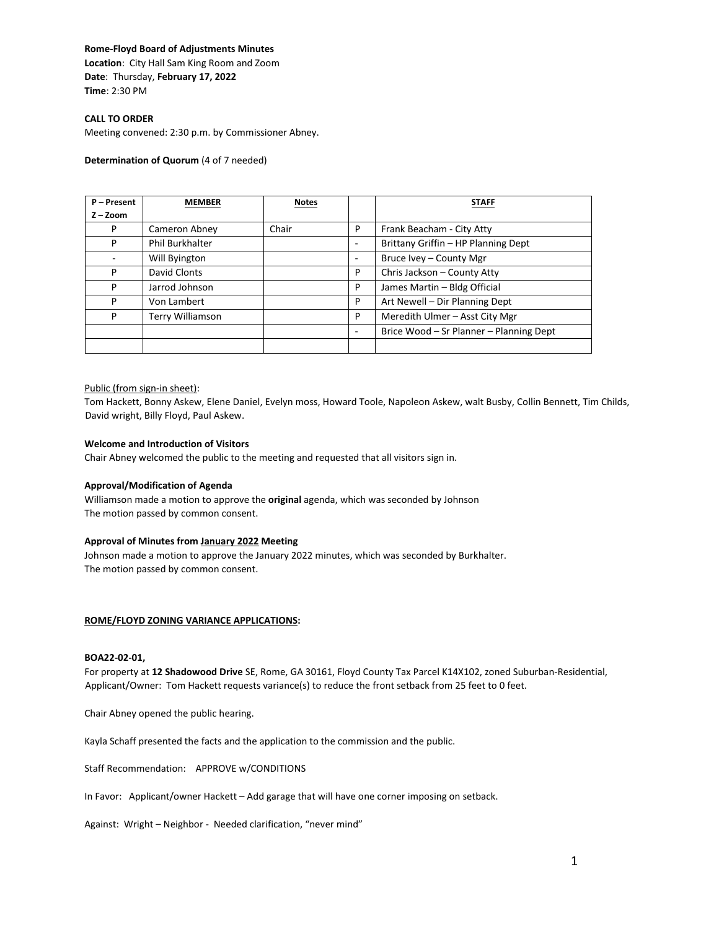## **Rome-Floyd Board of Adjustments Minutes**

**Location**: City Hall Sam King Room and Zoom **Date**: Thursday, **February 17, 2022 Time**: 2:30 PM

## **CALL TO ORDER**

Meeting convened: 2:30 p.m. by Commissioner Abney.

## **Determination of Quorum** (4 of 7 needed)

| P - Present | <b>MEMBER</b>           | <b>Notes</b> |   | <b>STAFF</b>                            |
|-------------|-------------------------|--------------|---|-----------------------------------------|
| $Z - Zoom$  |                         |              |   |                                         |
| P           | Cameron Abney           | Chair        | P | Frank Beacham - City Atty               |
| P           | <b>Phil Burkhalter</b>  |              | ۰ | Brittany Griffin - HP Planning Dept     |
|             | Will Byington           |              |   | Bruce Ivey - County Mgr                 |
| P           | David Clonts            |              | P | Chris Jackson - County Atty             |
| P           | Jarrod Johnson          |              | P | James Martin - Bldg Official            |
| P           | Von Lambert             |              | P | Art Newell - Dir Planning Dept          |
| P           | <b>Terry Williamson</b> |              | P | Meredith Ulmer - Asst City Mgr          |
|             |                         |              |   | Brice Wood - Sr Planner - Planning Dept |
|             |                         |              |   |                                         |

## Public (from sign-in sheet):

Tom Hackett, Bonny Askew, Elene Daniel, Evelyn moss, Howard Toole, Napoleon Askew, walt Busby, Collin Bennett, Tim Childs, David wright, Billy Floyd, Paul Askew.

## **Welcome and Introduction of Visitors**

Chair Abney welcomed the public to the meeting and requested that all visitors sign in.

#### **Approval/Modification of Agenda**

Williamson made a motion to approve the **original** agenda, which was seconded by Johnson The motion passed by common consent.

#### **Approval of Minutes from January 2022 Meeting**

Johnson made a motion to approve the January 2022 minutes, which was seconded by Burkhalter. The motion passed by common consent.

## **ROME/FLOYD ZONING VARIANCE APPLICATIONS:**

#### **BOA22-02-01,**

For property at **12 Shadowood Drive** SE, Rome, GA 30161, Floyd County Tax Parcel K14X102, zoned Suburban-Residential, Applicant/Owner: Tom Hackett requests variance(s) to reduce the front setback from 25 feet to 0 feet.

Chair Abney opened the public hearing.

Kayla Schaff presented the facts and the application to the commission and the public.

Staff Recommendation: APPROVE w/CONDITIONS

In Favor: Applicant/owner Hackett – Add garage that will have one corner imposing on setback.

Against: Wright – Neighbor - Needed clarification, "never mind"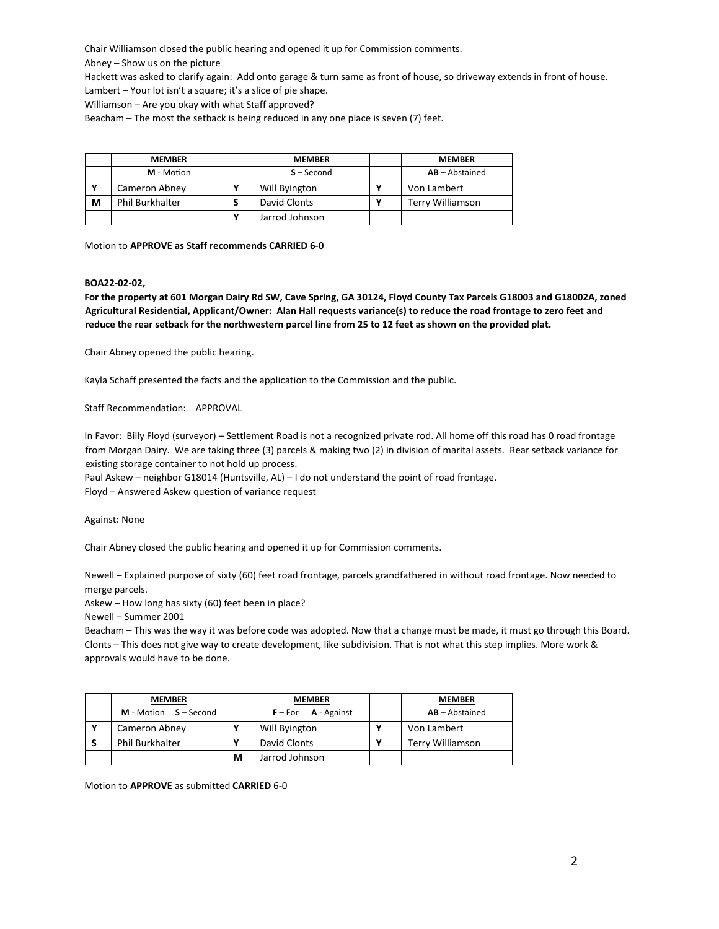Chair Williamson closed the public hearing and opened it up for Commission comments.

Abney – Show us on the picture

Hackett was asked to clarify again: Add onto garage & turn same as front of house, so driveway extends in front of house.

Lambert – Your lot isn't a square; it's a slice of pie shape.

Williamson – Are you okay with what Staff approved?

Beacham – The most the setback is being reduced in any one place is seven (7) feet.

|   | <b>MEMBER</b>   | <b>MEMBER</b>  | <b>MEMBER</b>        |
|---|-----------------|----------------|----------------------|
|   | M - Motion      | $S - Second$   | $AB - Abstractained$ |
| v | Cameron Abney   | Will Byington  | Von Lambert          |
| M | Phil Burkhalter | David Clonts   | Terry Williamson     |
|   |                 | Jarrod Johnson |                      |

Motion to **APPROVE as Staff recommends CARRIED 6-0**

# **BOA22-02-02,**

**For the property at 601 Morgan Dairy Rd SW, Cave Spring, GA 30124, Floyd County Tax Parcels G18003 and G18002A, zoned Agricultural Residential, Applicant/Owner: Alan Hall requests variance(s) to reduce the road frontage to zero feet and reduce the rear setback for the northwestern parcel line from 25 to 12 feet as shown on the provided plat.**

Chair Abney opened the public hearing.

Kayla Schaff presented the facts and the application to the Commission and the public.

Staff Recommendation: APPROVAL

In Favor: Billy Floyd (surveyor) – Settlement Road is not a recognized private rod. All home off this road has 0 road frontage from Morgan Dairy. We are taking three (3) parcels & making two (2) in division of marital assets. Rear setback variance for existing storage container to not hold up process.

Paul Askew – neighbor G18014 (Huntsville, AL) – I do not understand the point of road frontage.

Floyd – Answered Askew question of variance request

Against: None

Chair Abney closed the public hearing and opened it up for Commission comments.

Newell – Explained purpose of sixty (60) feet road frontage, parcels grandfathered in without road frontage. Now needed to merge parcels.

Askew – How long has sixty (60) feet been in place?

Newell – Summer 2001

Beacham – This was the way it was before code was adopted. Now that a change must be made, it must go through this Board. Clonts – This does not give way to create development, like subdivision. That is not what this step implies. More work & approvals would have to be done.

| <b>MEMBER</b>                  |   | <b>MEMBER</b>           | <b>MEMBER</b>        |
|--------------------------------|---|-------------------------|----------------------|
| <b>M</b> - Motion $S - Second$ |   | $F$ – For $A$ - Against | $AB - Abstractained$ |
| Cameron Abney                  | v | Will Byington           | Von Lambert          |
| <b>Phil Burkhalter</b>         |   | David Clonts            | Terry Williamson     |
|                                | M | Jarrod Johnson          |                      |

Motion to **APPROVE** as submitted **CARRIED** 6-0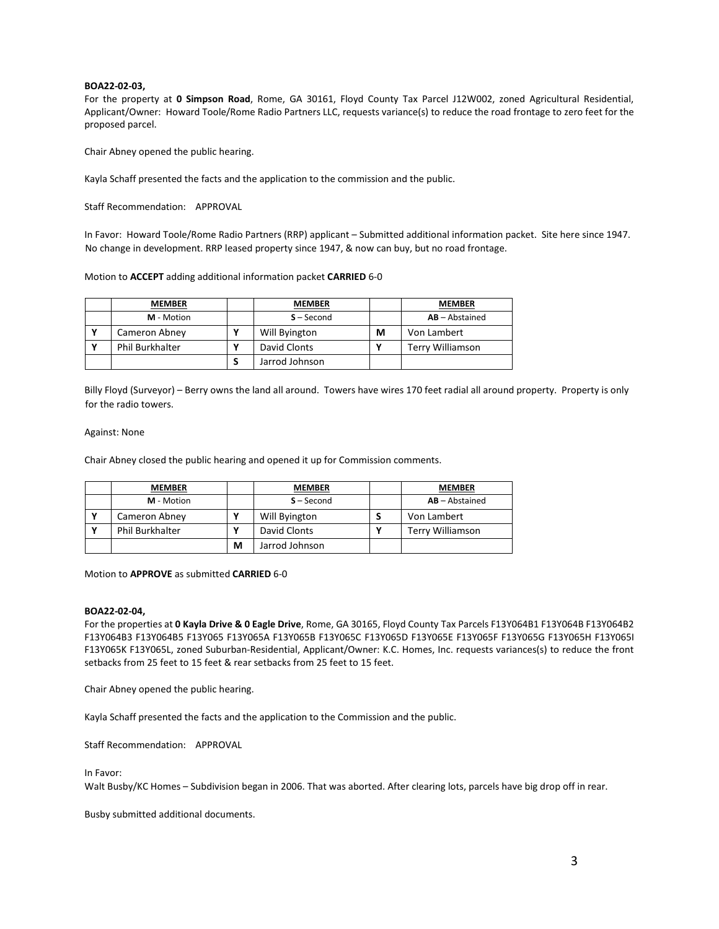## **BOA22-02-03,**

For the property at **0 Simpson Road**, Rome, GA 30161, Floyd County Tax Parcel J12W002, zoned Agricultural Residential, Applicant/Owner: Howard Toole/Rome Radio Partners LLC, requests variance(s) to reduce the road frontage to zero feet for the proposed parcel.

Chair Abney opened the public hearing.

Kayla Schaff presented the facts and the application to the commission and the public.

Staff Recommendation: APPROVAL

In Favor: Howard Toole/Rome Radio Partners (RRP) applicant – Submitted additional information packet. Site here since 1947. No change in development. RRP leased property since 1947, & now can buy, but no road frontage.

Motion to **ACCEPT** adding additional information packet **CARRIED** 6-0

| <b>MEMBER</b>          |   | <b>MEMBER</b>  |   | <b>MEMBER</b>        |
|------------------------|---|----------------|---|----------------------|
| M - Motion             |   | $S - Second$   |   | $AB - Abstractained$ |
| Cameron Abney          |   | Will Byington  | М | Von Lambert          |
| <b>Phil Burkhalter</b> | v | David Clonts   |   | Terry Williamson     |
|                        | S | Jarrod Johnson |   |                      |

Billy Floyd (Surveyor) – Berry owns the land all around. Towers have wires 170 feet radial all around property. Property is only for the radio towers.

#### Against: None

Chair Abney closed the public hearing and opened it up for Commission comments.

| <b>MEMBER</b>          |   | <b>MEMBER</b>  | <b>MEMBER</b>           |
|------------------------|---|----------------|-------------------------|
| M - Motion             |   | $S - Second$   | $AB - Abstractained$    |
| Cameron Abney          |   | Will Byington  | Von Lambert             |
| <b>Phil Burkhalter</b> |   | David Clonts   | <b>Terry Williamson</b> |
|                        | M | Jarrod Johnson |                         |

Motion to **APPROVE** as submitted **CARRIED** 6-0

#### **BOA22-02-04,**

For the properties at **0 Kayla Drive & 0 Eagle Drive**, Rome, GA 30165, Floyd County Tax Parcels F13Y064B1 F13Y064B F13Y064B2 F13Y064B3 F13Y064B5 F13Y065 F13Y065A F13Y065B F13Y065C F13Y065D F13Y065E F13Y065F F13Y065G F13Y065H F13Y065I F13Y065K F13Y065L, zoned Suburban-Residential, Applicant/Owner: K.C. Homes, Inc. requests variances(s) to reduce the front setbacks from 25 feet to 15 feet & rear setbacks from 25 feet to 15 feet.

Chair Abney opened the public hearing.

Kayla Schaff presented the facts and the application to the Commission and the public.

Staff Recommendation: APPROVAL

In Favor:

Walt Busby/KC Homes – Subdivision began in 2006. That was aborted. After clearing lots, parcels have big drop off in rear.

Busby submitted additional documents.